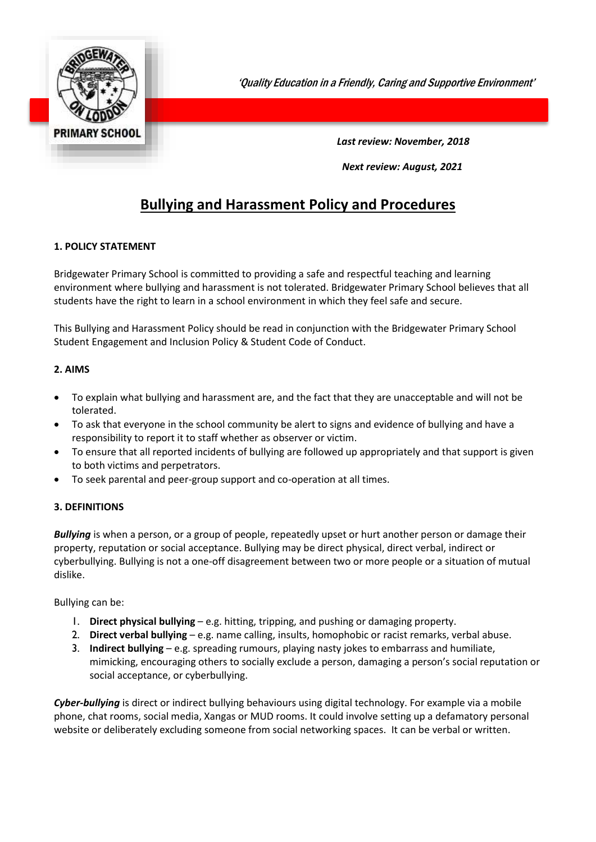

'Quality Education in a Friendly, Caring and Supportive Environment'

 *Last review: November, 2018* 

*Next review: August, 2021*

# **Bullying and Harassment Policy and Procedures**

### **1. POLICY STATEMENT**

Bridgewater Primary School is committed to providing a safe and respectful teaching and learning environment where bullying and harassment is not tolerated. Bridgewater Primary School believes that all students have the right to learn in a school environment in which they feel safe and secure.

This Bullying and Harassment Policy should be read in conjunction with the Bridgewater Primary School Student Engagement and Inclusion Policy & Student Code of Conduct.

### **2. AIMS**

- To explain what bullying and harassment are, and the fact that they are unacceptable and will not be tolerated.
- To ask that everyone in the school community be alert to signs and evidence of bullying and have a responsibility to report it to staff whether as observer or victim.
- To ensure that all reported incidents of bullying are followed up appropriately and that support is given to both victims and perpetrators.
- To seek parental and peer-group support and co-operation at all times.

### **3. DEFINITIONS**

*Bullying* is when a person, or a group of people, repeatedly upset or hurt another person or damage their property, reputation or social acceptance. Bullying may be direct physical, direct verbal, indirect or cyberbullying. Bullying is not a one-off disagreement between two or more people or a situation of mutual dislike.

Bullying can be:

- 1. **Direct physical bullying** e.g. hitting, tripping, and pushing or damaging property.
- 2. **Direct verbal bullying** e.g. name calling, insults, homophobic or racist remarks, verbal abuse.
- 3. **Indirect bullying** e.g. spreading rumours, playing nasty jokes to embarrass and humiliate, mimicking, encouraging others to socially exclude a person, damaging a person's social reputation or social acceptance, or cyberbullying.

*Cyber-bullying* is direct or indirect bullying behaviours using digital technology. For example via a mobile phone, chat rooms, social media, Xangas or MUD rooms. It could involve setting up a defamatory personal website or deliberately excluding someone from social networking spaces. It can be verbal or written.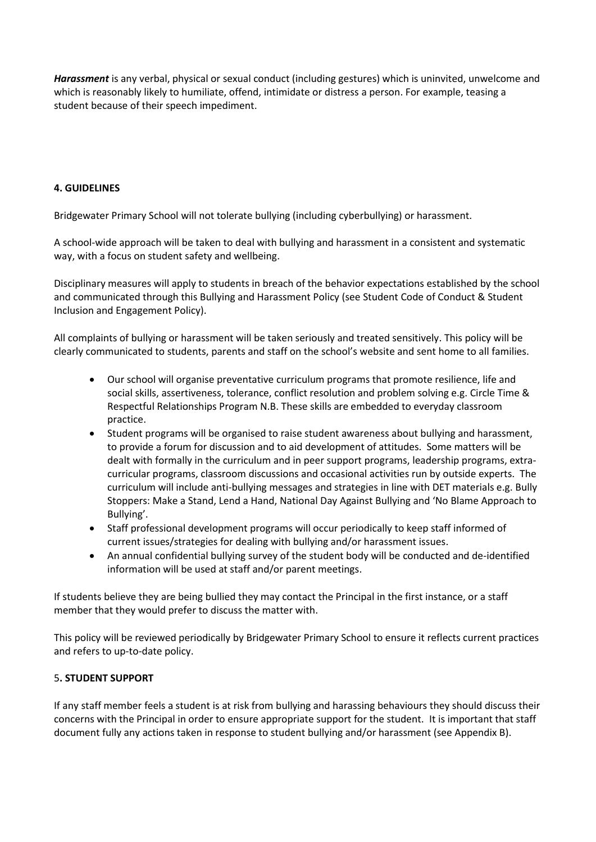*Harassment* is any verbal, physical or sexual conduct (including gestures) which is uninvited, unwelcome and which is reasonably likely to humiliate, offend, intimidate or distress a person. For example, teasing a student because of their speech impediment.

### **4. GUIDELINES**

Bridgewater Primary School will not tolerate bullying (including cyberbullying) or harassment.

A school-wide approach will be taken to deal with bullying and harassment in a consistent and systematic way, with a focus on student safety and wellbeing.

Disciplinary measures will apply to students in breach of the behavior expectations established by the school and communicated through this Bullying and Harassment Policy (see Student Code of Conduct & Student Inclusion and Engagement Policy).

All complaints of bullying or harassment will be taken seriously and treated sensitively. This policy will be clearly communicated to students, parents and staff on the school's website and sent home to all families.

- Our school will organise preventative curriculum programs that promote resilience, life and social skills, assertiveness, tolerance, conflict resolution and problem solving e.g. Circle Time & Respectful Relationships Program N.B. These skills are embedded to everyday classroom practice.
- Student programs will be organised to raise student awareness about bullying and harassment, to provide a forum for discussion and to aid development of attitudes. Some matters will be dealt with formally in the curriculum and in peer support programs, leadership programs, extracurricular programs, classroom discussions and occasional activities run by outside experts. The curriculum will include anti-bullying messages and strategies in line with DET materials e.g. Bully Stoppers: Make a Stand, Lend a Hand, National Day Against Bullying and 'No Blame Approach to Bullying'.
- Staff professional development programs will occur periodically to keep staff informed of current issues/strategies for dealing with bullying and/or harassment issues.
- An annual confidential bullying survey of the student body will be conducted and de-identified information will be used at staff and/or parent meetings.

If students believe they are being bullied they may contact the Principal in the first instance, or a staff member that they would prefer to discuss the matter with.

This policy will be reviewed periodically by Bridgewater Primary School to ensure it reflects current practices and refers to up-to-date policy.

### 5**. STUDENT SUPPORT**

If any staff member feels a student is at risk from bullying and harassing behaviours they should discuss their concerns with the Principal in order to ensure appropriate support for the student. It is important that staff document fully any actions taken in response to student bullying and/or harassment (see Appendix B).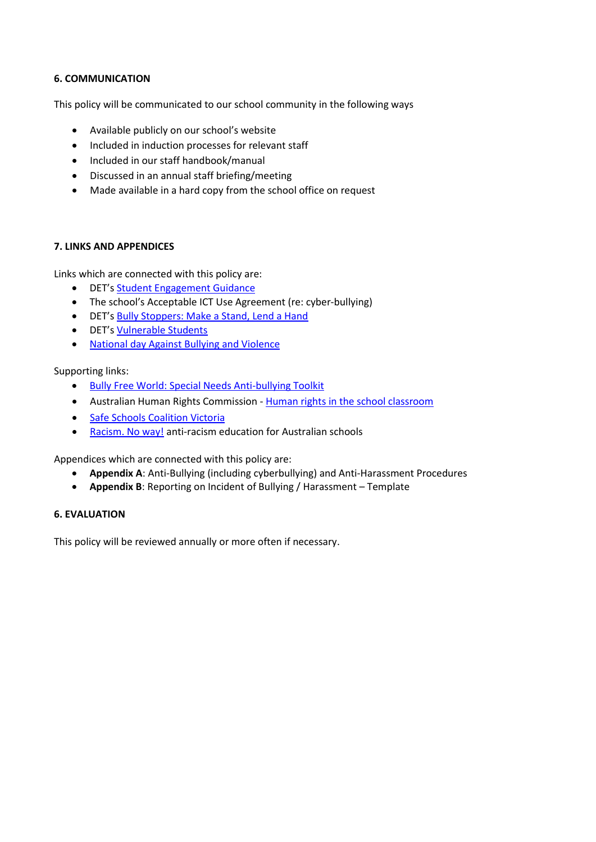### **6. COMMUNICATION**

This policy will be communicated to our school community in the following ways

- Available publicly on our school's website
- Included in induction processes for relevant staff
- Included in our staff handbook/manual
- Discussed in an annual staff briefing/meeting
- Made available in a hard copy from the school office on request

#### **7. LINKS AND APPENDICES**

Links which are connected with this policy are:

- DET's [Student Engagement Guidance](http://www.education.vic.gov.au/school/principals/participation/Pages/studentengagementguidance.aspx)
- The school's Acceptable ICT Use Agreement (re: cyber-bullying)
- DET's [Bully Stoppers: Make a Stand, Lend a Hand](http://www.education.vic.gov.au/about/programs/bullystoppers/Pages/default.aspx)
- DET's [Vulnerable](http://www.education.vic.gov.au/about/programs/bullystoppers/Pages/vulnerable.aspx) Students
- [National day Against Bullying and Violence](https://bullyingnoway.gov.au/preventing-bullying/national-day-of-action-against-bullying-and-violence)

Supporting links:

- [Bully Free World: Special Needs Anti-bullying Toolkit](http://specialneeds.thebullyproject.com/toolkit)
- Australian Human Rights Commission [Human rights in the school classroom](http://www.humanrights.gov.au/education/human-rights-school-classroom)
- [Safe Schools Coalition Victoria](http://safeschoolscoalitionvictoria.org.au/about/)
- [Racism. No way!](http://www.racismnoway.com.au/) anti-racism education for Australian schools

Appendices which are connected with this policy are:

- **Appendix A**: Anti-Bullying (including cyberbullying) and Anti-Harassment Procedures
- **Appendix B**: Reporting on Incident of Bullying / Harassment Template

#### **6. EVALUATION**

This policy will be reviewed annually or more often if necessary.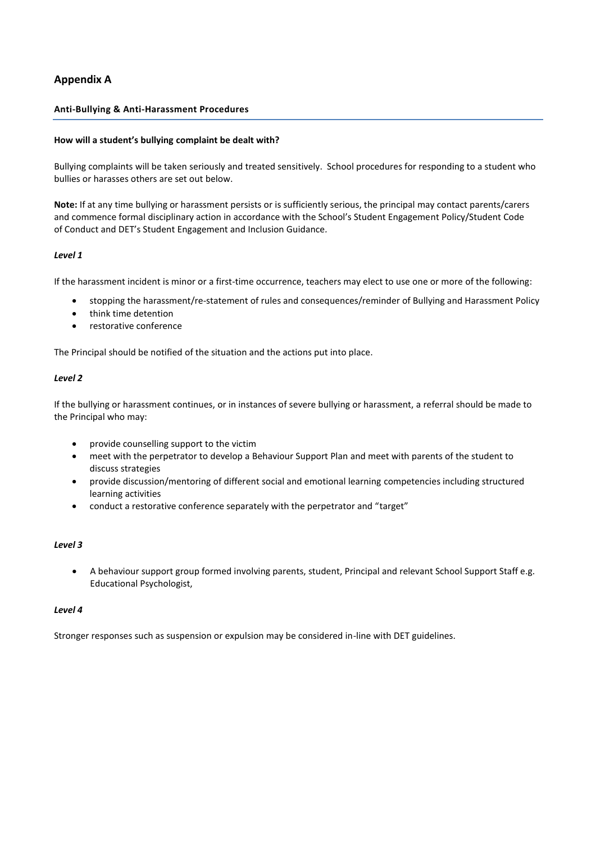### **Appendix A**

#### **Anti-Bullying & Anti-Harassment Procedures**

#### **How will a student's bullying complaint be dealt with?**

Bullying complaints will be taken seriously and treated sensitively. School procedures for responding to a student who bullies or harasses others are set out below.

**Note:** If at any time bullying or harassment persists or is sufficiently serious, the principal may contact parents/carers and commence formal disciplinary action in accordance with the School's Student Engagement Policy/Student Code of Conduct and DET's Student Engagement and Inclusion Guidance*.*

#### *Level 1*

If the harassment incident is minor or a first-time occurrence, teachers may elect to use one or more of the following:

- stopping the harassment/re-statement of rules and consequences/reminder of Bullying and Harassment Policy
- think time detention
- restorative conference

The Principal should be notified of the situation and the actions put into place.

#### *Level 2*

If the bullying or harassment continues, or in instances of severe bullying or harassment, a referral should be made to the Principal who may:

- provide counselling support to the victim
- meet with the perpetrator to develop a Behaviour Support Plan and meet with parents of the student to discuss strategies
- provide discussion/mentoring of different social and emotional learning competencies including structured learning activities
- conduct a restorative conference separately with the perpetrator and "target"

#### *Level 3*

 A behaviour support group formed involving parents, student, Principal and relevant School Support Staff e.g. Educational Psychologist,

#### *Level 4*

Stronger responses such as suspension or expulsion may be considered in-line with DET guidelines.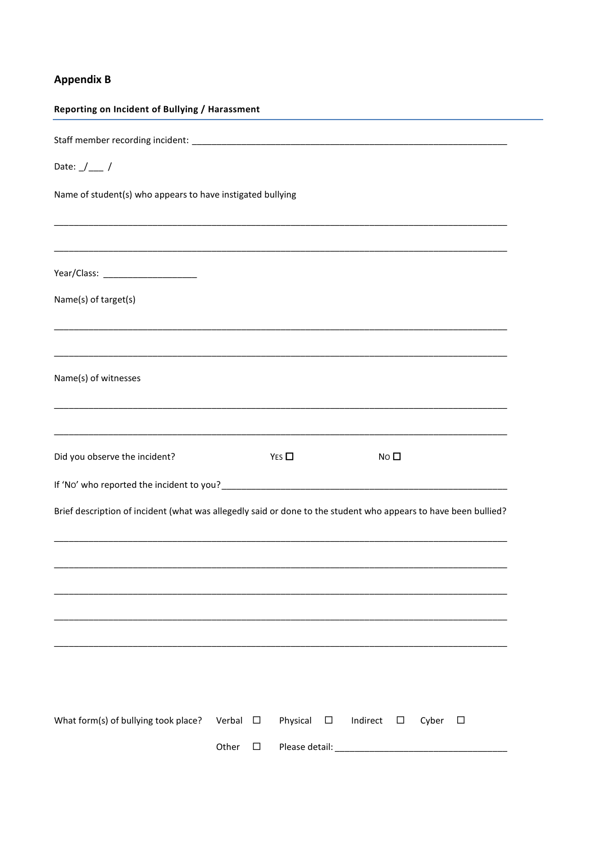## **Appendix B**

| Reporting on Incident of Bullying / Harassment                                                                  |        |        |                |        |                    |       |        |  |  |  |
|-----------------------------------------------------------------------------------------------------------------|--------|--------|----------------|--------|--------------------|-------|--------|--|--|--|
|                                                                                                                 |        |        |                |        |                    |       |        |  |  |  |
| Date: $\frac{1}{\sqrt{2}}$ /                                                                                    |        |        |                |        |                    |       |        |  |  |  |
| Name of student(s) who appears to have instigated bullying                                                      |        |        |                |        |                    |       |        |  |  |  |
|                                                                                                                 |        |        |                |        |                    |       |        |  |  |  |
|                                                                                                                 |        |        |                |        |                    |       |        |  |  |  |
| Name(s) of target(s)                                                                                            |        |        |                |        |                    |       |        |  |  |  |
|                                                                                                                 |        |        |                |        |                    |       |        |  |  |  |
| Name(s) of witnesses                                                                                            |        |        |                |        |                    |       |        |  |  |  |
| Did you observe the incident?                                                                                   |        |        | YES            |        | No $\square$       |       |        |  |  |  |
|                                                                                                                 |        |        |                |        |                    |       |        |  |  |  |
| Brief description of incident (what was allegedly said or done to the student who appears to have been bullied? |        |        |                |        |                    |       |        |  |  |  |
|                                                                                                                 |        |        |                |        |                    |       |        |  |  |  |
|                                                                                                                 |        |        |                |        |                    |       |        |  |  |  |
|                                                                                                                 |        |        |                |        |                    |       |        |  |  |  |
| What form(s) of bullying took place?                                                                            | Verbal | $\Box$ | Physical       | $\Box$ | Indirect<br>$\Box$ | Cyber | $\Box$ |  |  |  |
|                                                                                                                 | Other  | $\Box$ | Please detail: |        |                    |       |        |  |  |  |